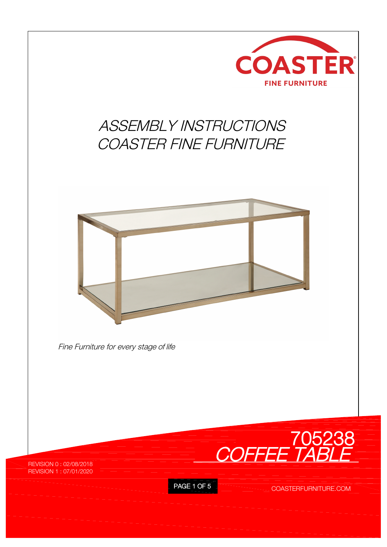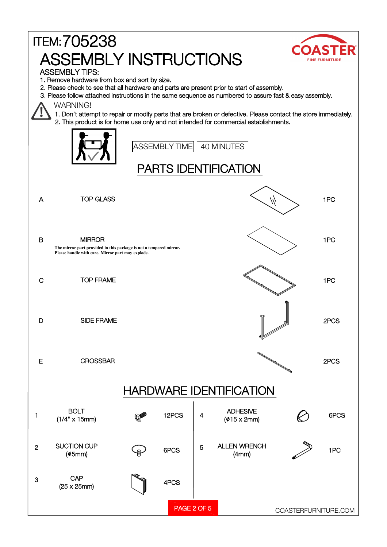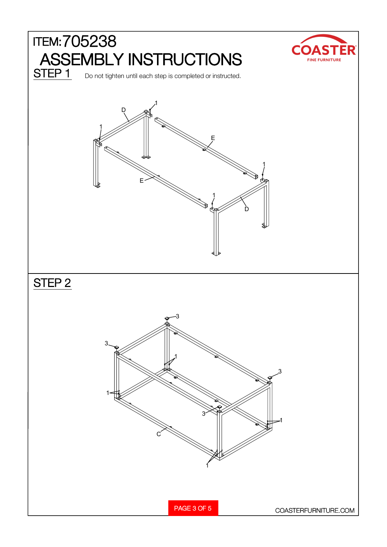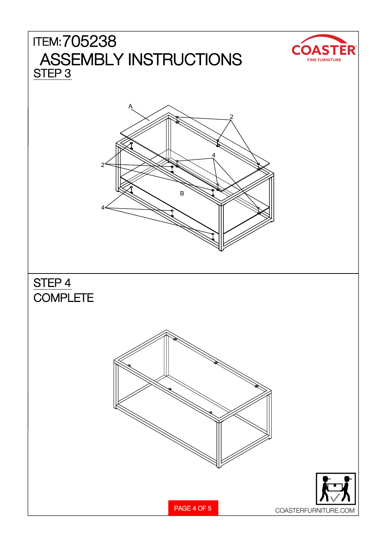